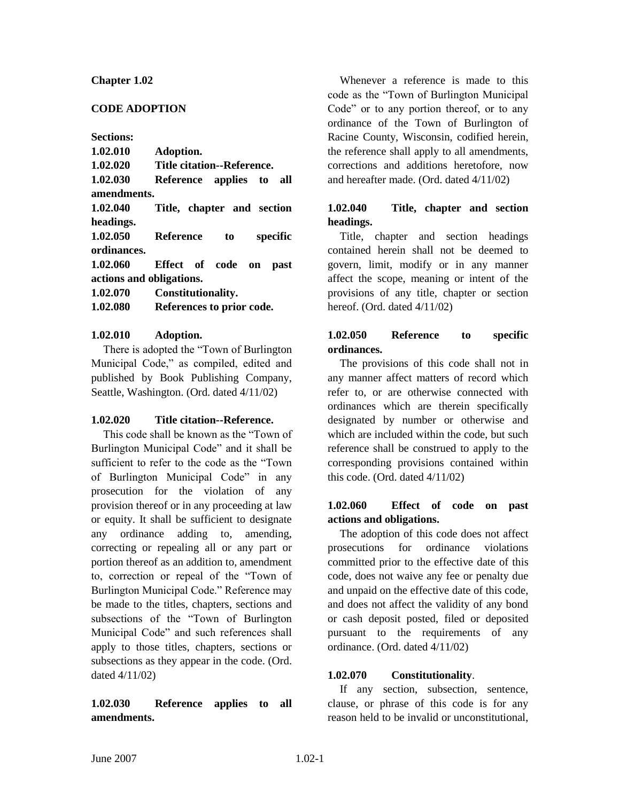#### **Chapter 1.02**

#### **CODE ADOPTION**

**Sections:**

| 1.02.010                 | Adoption.                   |
|--------------------------|-----------------------------|
| 1.02.020                 | Title citation--Reference.  |
| 1.02.030                 | Reference applies to<br>all |
| amendments.              |                             |
| 1.02.040                 | Title, chapter and section  |
| headings.                |                             |
| 1.02.050                 | Reference<br>specific<br>to |
| ordinances.              |                             |
| 1.02.060                 | Effect of code on<br>past   |
| actions and obligations. |                             |
| 1.02.070                 | Constitutionality.          |
| 1.02.080                 | References to prior code.   |
|                          |                             |

### **1.02.010 Adoption.**

There is adopted the "Town of Burlington Municipal Code," as compiled, edited and published by Book Publishing Company, Seattle, Washington. (Ord. dated 4/11/02)

## **1.02.020 Title citation--Reference.**

This code shall be known as the "Town of Burlington Municipal Code" and it shall be sufficient to refer to the code as the "Town of Burlington Municipal Code" in any prosecution for the violation of any provision thereof or in any proceeding at law or equity. It shall be sufficient to designate any ordinance adding to, amending, correcting or repealing all or any part or portion thereof as an addition to, amendment to, correction or repeal of the "Town of Burlington Municipal Code." Reference may be made to the titles, chapters, sections and subsections of the "Town of Burlington Municipal Code" and such references shall apply to those titles, chapters, sections or subsections as they appear in the code. (Ord. dated 4/11/02)

# **1.02.030 Reference applies to all amendments.**

Whenever a reference is made to this code as the "Town of Burlington Municipal Code" or to any portion thereof, or to any ordinance of the Town of Burlington of Racine County, Wisconsin, codified herein, the reference shall apply to all amendments, corrections and additions heretofore, now and hereafter made. (Ord. dated 4/11/02)

# **1.02.040 Title, chapter and section headings.**

Title, chapter and section headings contained herein shall not be deemed to govern, limit, modify or in any manner affect the scope, meaning or intent of the provisions of any title, chapter or section hereof. (Ord. dated 4/11/02)

# **1.02.050 Reference to specific ordinances.**

The provisions of this code shall not in any manner affect matters of record which refer to, or are otherwise connected with ordinances which are therein specifically designated by number or otherwise and which are included within the code, but such reference shall be construed to apply to the corresponding provisions contained within this code. (Ord. dated 4/11/02)

### **1.02.060 Effect of code on past actions and obligations.**

The adoption of this code does not affect prosecutions for ordinance violations committed prior to the effective date of this code, does not waive any fee or penalty due and unpaid on the effective date of this code, and does not affect the validity of any bond or cash deposit posted, filed or deposited pursuant to the requirements of any ordinance. (Ord. dated 4/11/02)

## **1.02.070 Constitutionality**.

If any section, subsection, sentence, clause, or phrase of this code is for any reason held to be invalid or unconstitutional,